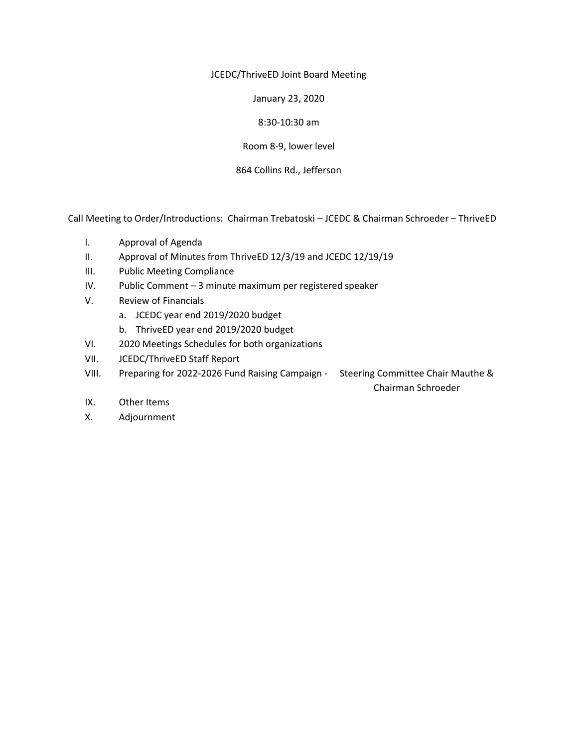JCEDC/ThriveED Joint Board Meeting

January 23, 2020

8:30-10:30 am

Room 8-9, lower level

864 Collins Rd., Jefferson

Call Meeting to Order/Introductions: Chairman Trebatoski – JCEDC & Chairman Schroeder – ThriveED

- I. Approval of Agenda
- II. Approval of Minutes from ThriveED 12/3/19 and JCEDC 12/19/19
- III. Public Meeting Compliance
- IV. Public Comment 3 minute maximum per registered speaker
- V. Review of Financials
	- a. JCEDC year end 2019/2020 budget
	- b. ThriveED year end 2019/2020 budget
- VI. 2020 Meetings Schedules for both organizations
- VII. JCEDC/ThriveED Staff Report
- VIII. Preparing for 2022-2026 Fund Raising Campaign Steering Committee Chair Mauthe &

Chairman Schroeder

- IX. Other Items
- X. Adjournment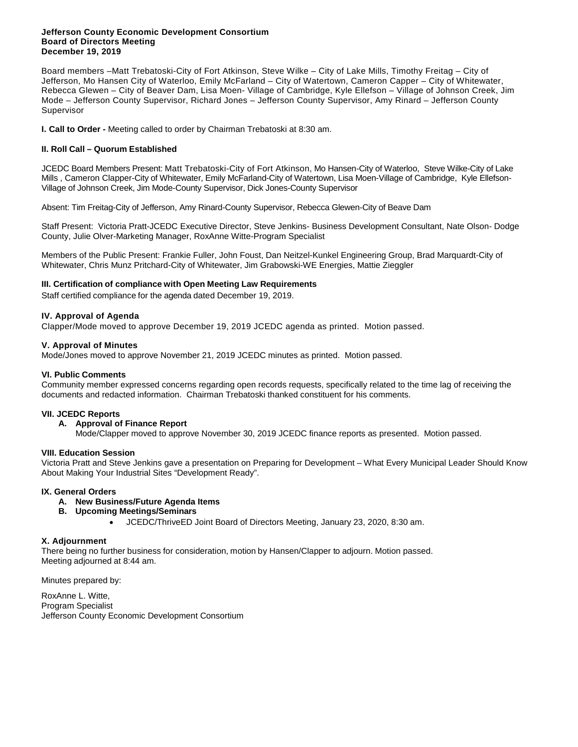#### **Jefferson County Economic Development Consortium Board of Directors Meeting December 19, 2019**

Board members –Matt Trebatoski-City of Fort Atkinson, Steve Wilke – City of Lake Mills, Timothy Freitag – City of Jefferson, Mo Hansen City of Waterloo, Emily McFarland – City of Watertown, Cameron Capper – City of Whitewater, Rebecca Glewen – City of Beaver Dam, Lisa Moen- Village of Cambridge, Kyle Ellefson – Village of Johnson Creek, Jim Mode – Jefferson County Supervisor, Richard Jones – Jefferson County Supervisor, Amy Rinard – Jefferson County Supervisor

**I. Call to Order -** Meeting called to order by Chairman Trebatoski at 8:30 am.

#### **II. Roll Call – Quorum Established**

JCEDC Board Members Present: Matt Trebatoski-City of Fort Atkinson, Mo Hansen-City of Waterloo, Steve Wilke-City of Lake Mills , Cameron Clapper-City of Whitewater, Emily McFarland-City of Watertown, Lisa Moen-Village of Cambridge, Kyle Ellefson-Village of Johnson Creek, Jim Mode-County Supervisor, Dick Jones-County Supervisor

Absent: Tim Freitag-City of Jefferson, Amy Rinard-County Supervisor, Rebecca Glewen-City of Beave Dam

Staff Present: Victoria Pratt-JCEDC Executive Director, Steve Jenkins- Business Development Consultant, Nate Olson- Dodge County, Julie Olver-Marketing Manager, RoxAnne Witte-Program Specialist

Members of the Public Present: Frankie Fuller, John Foust, Dan Neitzel-Kunkel Engineering Group, Brad Marquardt-City of Whitewater, Chris Munz Pritchard-City of Whitewater, Jim Grabowski-WE Energies, Mattie Zieggler

#### **III. Certification of compliance with Open Meeting Law Requirements**

Staff certified compliance for the agenda dated December 19, 2019.

#### **IV. Approval of Agenda**

Clapper/Mode moved to approve December 19, 2019 JCEDC agenda as printed. Motion passed.

#### **V. Approval of Minutes**

Mode/Jones moved to approve November 21, 2019 JCEDC minutes as printed. Motion passed.

#### **VI. Public Comments**

Community member expressed concerns regarding open records requests, specifically related to the time lag of receiving the documents and redacted information. Chairman Trebatoski thanked constituent for his comments.

#### **VII. JCEDC Reports**

#### **A. Approval of Finance Report**

Mode/Clapper moved to approve November 30, 2019 JCEDC finance reports as presented. Motion passed.

#### **VIII. Education Session**

Victoria Pratt and Steve Jenkins gave a presentation on Preparing for Development – What Every Municipal Leader Should Know About Making Your Industrial Sites "Development Ready".

#### **IX. General Orders**

#### **A. New Business/Future Agenda Items**

- **B. Upcoming Meetings/Seminars**
	- JCEDC/ThriveED Joint Board of Directors Meeting, January 23, 2020, 8:30 am.

#### **X. Adjournment**

There being no further business for consideration, motion by Hansen/Clapper to adjourn. Motion passed. Meeting adjourned at 8:44 am.

Minutes prepared by:

RoxAnne L. Witte, Program Specialist Jefferson County Economic Development Consortium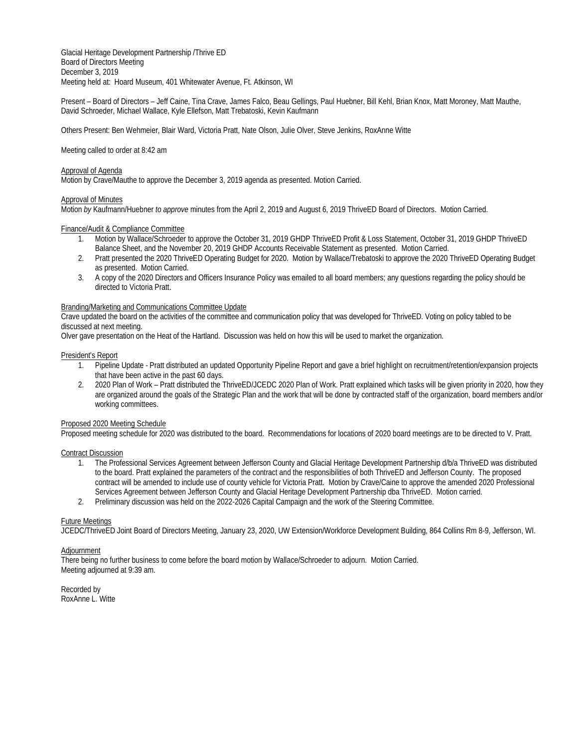Glacial Heritage Development Partnership /Thrive ED Board of Directors Meeting December 3, 2019 Meeting held at: Hoard Museum, 401 Whitewater Avenue, Ft. Atkinson, WI

Present – Board of Directors – Jeff Caine, Tina Crave, James Falco, Beau Gellings, Paul Huebner, Bill Kehl, Brian Knox, Matt Moroney, Matt Mauthe, David Schroeder, Michael Wallace, Kyle Ellefson, Matt Trebatoski, Kevin Kaufmann

Others Present: Ben Wehmeier, Blair Ward, Victoria Pratt, Nate Olson, Julie Olver, Steve Jenkins, RoxAnne Witte

Meeting called to order at 8:42 am

#### Approval of Agenda

Motion by Crave/Mauthe to approve the December 3, 2019 agenda as presented. Motion Carried.

#### Approval of Minutes

Motion *by* Kaufmann/Huebner *to approve* minutes from the April 2, 2019 and August 6, 2019 ThriveED Board of Directors. Motion Carried.

#### Finance/Audit & Compliance Committee

- 1. Motion by Wallace/Schroeder to approve the October 31, 2019 GHDP ThriveED Profit & Loss Statement, October 31, 2019 GHDP ThriveED Balance Sheet, and the November 20, 2019 GHDP Accounts Receivable Statement as presented. Motion Carried.
- 2. Pratt presented the 2020 ThriveED Operating Budget for 2020. Motion by Wallace/Trebatoski to approve the 2020 ThriveED Operating Budget as presented. Motion Carried.
- 3. A copy of the 2020 Directors and Officers Insurance Policy was emailed to all board members; any questions regarding the policy should be directed to Victoria Pratt.

#### Branding/Marketing and Communications Committee Update

Crave updated the board on the activities of the committee and communication policy that was developed for ThriveED. Voting on policy tabled to be discussed at next meeting.

Olver gave presentation on the Heat of the Hartland. Discussion was held on how this will be used to market the organization.

#### President's Report

- 1. Pipeline Update Pratt distributed an updated Opportunity Pipeline Report and gave a brief highlight on recruitment/retention/expansion projects that have been active in the past 60 days.
- 2. 2020 Plan of Work Pratt distributed the ThriveED/JCEDC 2020 Plan of Work. Pratt explained which tasks will be given priority in 2020, how they are organized around the goals of the Strategic Plan and the work that will be done by contracted staff of the organization, board members and/or working committees.

#### Proposed 2020 Meeting Schedule

Proposed meeting schedule for 2020 was distributed to the board. Recommendations for locations of 2020 board meetings are to be directed to V. Pratt.

#### Contract Discussion

- 1. The Professional Services Agreement between Jefferson County and Glacial Heritage Development Partnership d/b/a ThriveED was distributed to the board. Pratt explained the parameters of the contract and the responsibilities of both ThriveED and Jefferson County. The proposed contract will be amended to include use of county vehicle for Victoria Pratt. Motion by Crave/Caine to approve the amended 2020 Professional Services Agreement between Jefferson County and Glacial Heritage Development Partnership dba ThriveED. Motion carried.
- 2. Preliminary discussion was held on the 2022-2026 Capital Campaign and the work of the Steering Committee.

#### Future Meetings

JCEDC/ThriveED Joint Board of Directors Meeting, January 23, 2020, UW Extension/Workforce Development Building, 864 Collins Rm 8-9, Jefferson, WI.

#### Adjournment

There being no further business to come before the board motion by Wallace/Schroeder to adjourn. Motion Carried. Meeting adjourned at 9:39 am.

Recorded by RoxAnne L. Witte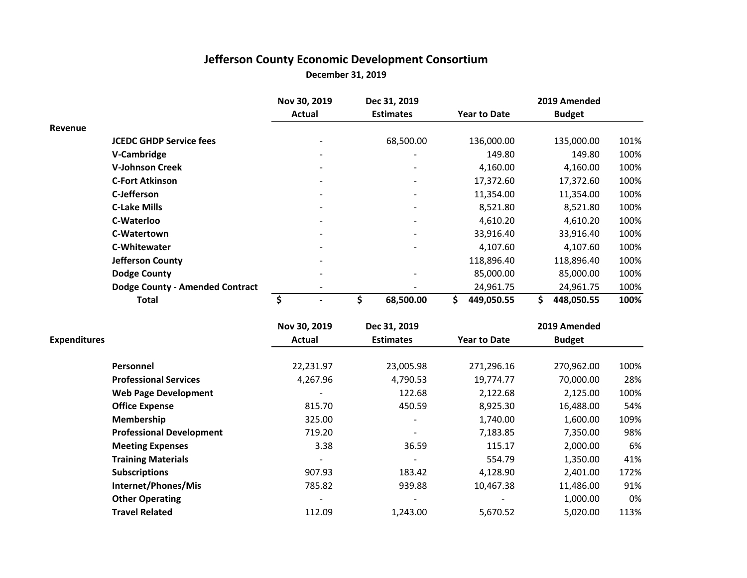# **Jefferson County Economic Development Consortium December 31, 2019**

|                     |                                        | Nov 30, 2019                    | Dec 31, 2019     |                     | 2019 Amended     |      |
|---------------------|----------------------------------------|---------------------------------|------------------|---------------------|------------------|------|
|                     |                                        | <b>Actual</b>                   | <b>Estimates</b> | <b>Year to Date</b> | <b>Budget</b>    |      |
| Revenue             |                                        |                                 |                  |                     |                  |      |
|                     | <b>JCEDC GHDP Service fees</b>         |                                 | 68,500.00        | 136,000.00          | 135,000.00       | 101% |
|                     | V-Cambridge                            |                                 |                  | 149.80              | 149.80           | 100% |
|                     | <b>V-Johnson Creek</b>                 |                                 |                  | 4,160.00            | 4,160.00         | 100% |
|                     | <b>C-Fort Atkinson</b>                 |                                 |                  | 17,372.60           | 17,372.60        | 100% |
|                     | C-Jefferson                            |                                 |                  | 11,354.00           | 11,354.00        | 100% |
|                     | <b>C-Lake Mills</b>                    |                                 |                  | 8,521.80            | 8,521.80         | 100% |
|                     | C-Waterloo                             |                                 |                  | 4,610.20            | 4,610.20         | 100% |
|                     | C-Watertown                            |                                 |                  | 33,916.40           | 33,916.40        | 100% |
|                     | <b>C-Whitewater</b>                    |                                 |                  | 4,107.60            | 4,107.60         | 100% |
|                     | <b>Jefferson County</b>                |                                 |                  | 118,896.40          | 118,896.40       | 100% |
|                     | <b>Dodge County</b>                    |                                 |                  | 85,000.00           | 85,000.00        | 100% |
|                     | <b>Dodge County - Amended Contract</b> |                                 |                  | 24,961.75           | 24,961.75        | 100% |
|                     | <b>Total</b>                           | $\overline{\boldsymbol{\zeta}}$ | \$<br>68,500.00  | \$<br>449,050.55    | \$<br>448,050.55 | 100% |
|                     |                                        | Nov 30, 2019                    | Dec 31, 2019     |                     | 2019 Amended     |      |
| <b>Expenditures</b> |                                        | Actual                          | <b>Estimates</b> | <b>Year to Date</b> | <b>Budget</b>    |      |
|                     | Personnel                              | 22,231.97                       | 23,005.98        | 271,296.16          | 270,962.00       | 100% |
|                     | <b>Professional Services</b>           | 4,267.96                        | 4,790.53         | 19,774.77           | 70,000.00        | 28%  |
|                     | <b>Web Page Development</b>            |                                 | 122.68           | 2,122.68            | 2,125.00         | 100% |
|                     | <b>Office Expense</b>                  | 815.70                          | 450.59           | 8,925.30            | 16,488.00        | 54%  |
|                     | Membership                             | 325.00                          |                  | 1,740.00            | 1,600.00         | 109% |
|                     | <b>Professional Development</b>        | 719.20                          |                  | 7,183.85            | 7,350.00         | 98%  |
|                     | <b>Meeting Expenses</b>                | 3.38                            | 36.59            | 115.17              | 2,000.00         | 6%   |
|                     | <b>Training Materials</b>              |                                 |                  | 554.79              | 1,350.00         | 41%  |
|                     | <b>Subscriptions</b>                   | 907.93                          | 183.42           | 4,128.90            | 2,401.00         | 172% |

**Internet/Phones/Mis** 785.82 939.88 10,467.38 11,486.00 91% **Other Operating 1,000.00** 0% **Travel Related** 112.09 112.09 1,243.00 5,670.52 5,020.00 113%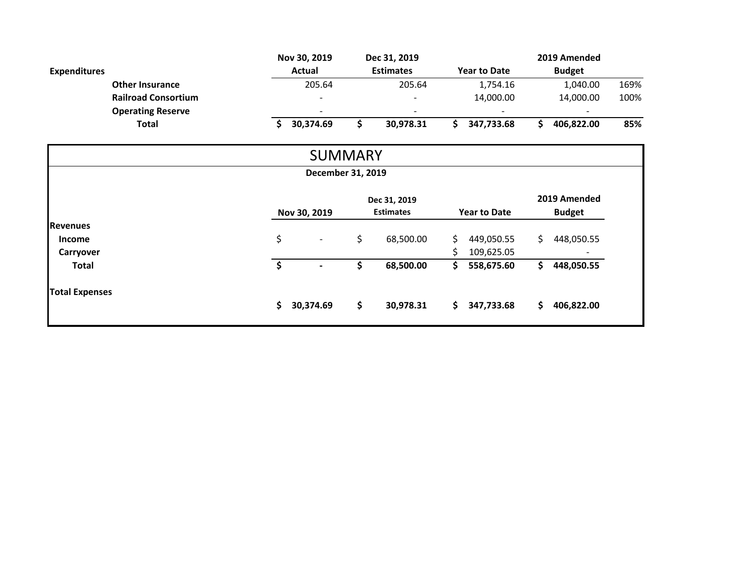|                       |                            | Nov 30, 2019      | Dec 31, 2019     |                     | 2019 Amended      |      |  |
|-----------------------|----------------------------|-------------------|------------------|---------------------|-------------------|------|--|
| <b>Expenditures</b>   |                            | Actual            | <b>Estimates</b> | <b>Year to Date</b> | <b>Budget</b>     |      |  |
|                       | <b>Other Insurance</b>     | 205.64            | 205.64           | 1,754.16            | 1,040.00          | 169% |  |
|                       | <b>Railroad Consortium</b> |                   |                  | 14,000.00           | 14,000.00         | 100% |  |
|                       | <b>Operating Reserve</b>   |                   |                  |                     |                   |      |  |
| Total                 |                            | \$<br>30,374.69   | \$<br>30,978.31  | \$.<br>347,733.68   | 406,822.00<br>\$  | 85%  |  |
|                       |                            | <b>SUMMARY</b>    |                  |                     |                   |      |  |
|                       |                            | December 31, 2019 |                  |                     |                   |      |  |
|                       |                            |                   | Dec 31, 2019     |                     | 2019 Amended      |      |  |
|                       |                            | Nov 30, 2019      | <b>Estimates</b> | <b>Year to Date</b> | <b>Budget</b>     |      |  |
| <b>Revenues</b>       |                            |                   |                  |                     |                   |      |  |
| Income                |                            | \$                | \$<br>68,500.00  | 449,050.55<br>S.    | \$.<br>448,050.55 |      |  |
| Carryover             |                            |                   |                  | \$<br>109,625.05    |                   |      |  |
|                       |                            | \$                | \$<br>68,500.00  | \$<br>558,675.60    | \$<br>448,050.55  |      |  |
| <b>Total</b>          |                            |                   |                  |                     |                   |      |  |
| <b>Total Expenses</b> |                            |                   | \$               |                     |                   |      |  |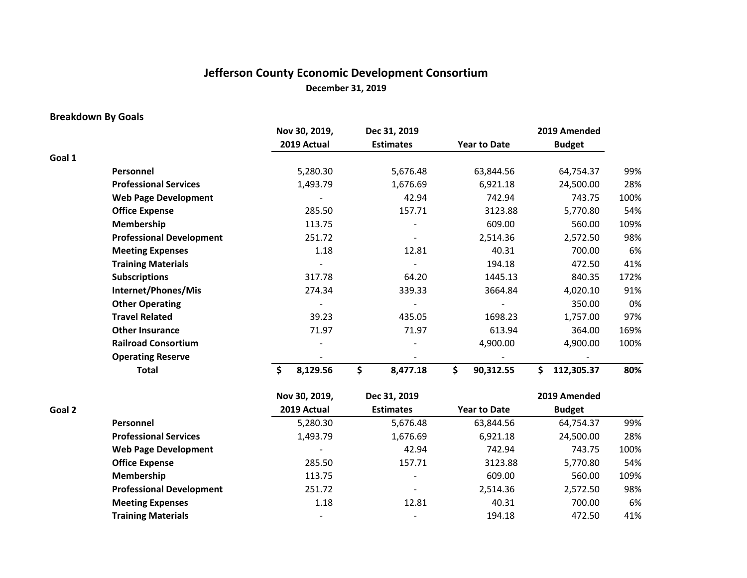# **Jefferson County Economic Development Consortium December 31, 2019**

## **Breakdown By Goals**

|        |                                 | Nov 30, 2019,  | Dec 31, 2019     |                     | 2019 Amended     |      |
|--------|---------------------------------|----------------|------------------|---------------------|------------------|------|
|        |                                 | 2019 Actual    | <b>Estimates</b> | <b>Year to Date</b> | <b>Budget</b>    |      |
| Goal 1 |                                 |                |                  |                     |                  |      |
|        | Personnel                       | 5,280.30       | 5,676.48         | 63,844.56           | 64,754.37        | 99%  |
|        | <b>Professional Services</b>    | 1,493.79       | 1,676.69         | 6,921.18            | 24,500.00        | 28%  |
|        | <b>Web Page Development</b>     |                | 42.94            | 742.94              | 743.75           | 100% |
|        | <b>Office Expense</b>           | 285.50         | 157.71           | 3123.88             | 5,770.80         | 54%  |
|        | Membership                      | 113.75         |                  | 609.00              | 560.00           | 109% |
|        | <b>Professional Development</b> | 251.72         |                  | 2,514.36            | 2,572.50         | 98%  |
|        | <b>Meeting Expenses</b>         | 1.18           | 12.81            | 40.31               | 700.00           | 6%   |
|        | <b>Training Materials</b>       |                |                  | 194.18              | 472.50           | 41%  |
|        | <b>Subscriptions</b>            | 317.78         | 64.20            | 1445.13             | 840.35           | 172% |
|        | Internet/Phones/Mis             | 274.34         | 339.33           | 3664.84             | 4,020.10         | 91%  |
|        | <b>Other Operating</b>          |                |                  |                     | 350.00           | 0%   |
|        | <b>Travel Related</b>           | 39.23          | 435.05           | 1698.23             | 1,757.00         | 97%  |
|        | <b>Other Insurance</b>          | 71.97          | 71.97            | 613.94              | 364.00           | 169% |
|        | <b>Railroad Consortium</b>      |                |                  | 4,900.00            | 4,900.00         | 100% |
|        | <b>Operating Reserve</b>        |                |                  |                     |                  |      |
|        | <b>Total</b>                    | \$<br>8,129.56 | \$<br>8,477.18   | \$<br>90,312.55     | 112,305.37<br>Ŝ. | 80%  |

|        |                                 | Nov 30, 2019,            | Dec 31, 2019             |                     | 2019 Amended  |      |
|--------|---------------------------------|--------------------------|--------------------------|---------------------|---------------|------|
| Goal 2 |                                 | 2019 Actual              | <b>Estimates</b>         | <b>Year to Date</b> | <b>Budget</b> |      |
|        | Personnel                       | 5,280.30                 | 5,676.48                 | 63,844.56           | 64,754.37     | 99%  |
|        | <b>Professional Services</b>    | 1,493.79                 | 1,676.69                 | 6,921.18            | 24,500.00     | 28%  |
|        | <b>Web Page Development</b>     | $\overline{\phantom{a}}$ | 42.94                    | 742.94              | 743.75        | 100% |
|        | <b>Office Expense</b>           | 285.50                   | 157.71                   | 3123.88             | 5,770.80      | 54%  |
|        | Membership                      | 113.75                   | $\overline{\phantom{a}}$ | 609.00              | 560.00        | 109% |
|        | <b>Professional Development</b> | 251.72                   | $\overline{\phantom{a}}$ | 2,514.36            | 2,572.50      | 98%  |
|        | <b>Meeting Expenses</b>         | 1.18                     | 12.81                    | 40.31               | 700.00        | 6%   |
|        | <b>Training Materials</b>       | $\overline{\phantom{a}}$ | $\overline{\phantom{a}}$ | 194.18              | 472.50        | 41%  |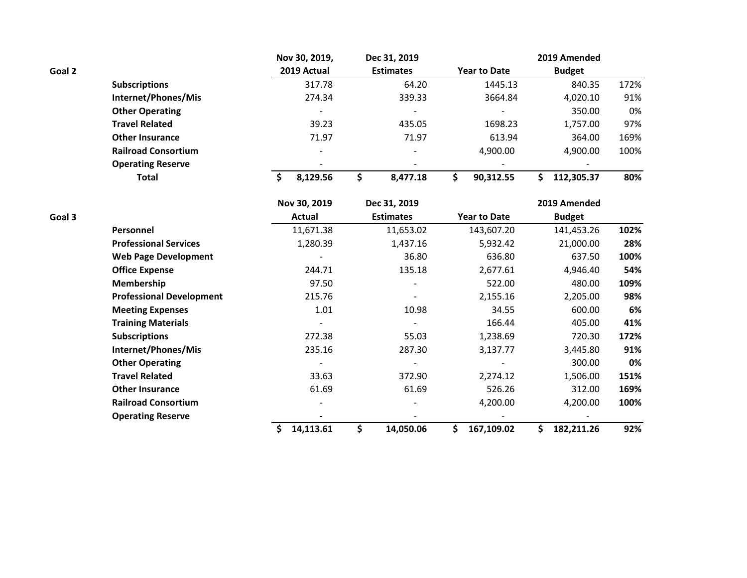|        |                            | Nov 30, 2019,            | Dec 31, 2019             |                     | 2019 Amended  |      |
|--------|----------------------------|--------------------------|--------------------------|---------------------|---------------|------|
| Goal 2 |                            | 2019 Actual              | <b>Estimates</b>         | <b>Year to Date</b> | <b>Budget</b> |      |
|        | <b>Subscriptions</b>       | 317.78                   | 64.20                    | 1445.13             | 840.35        | 172% |
|        | Internet/Phones/Mis        | 274.34                   | 339.33                   | 3664.84             | 4,020.10      | 91%  |
|        | <b>Other Operating</b>     | $\overline{\phantom{0}}$ | $\overline{\phantom{a}}$ |                     | 350.00        | 0%   |
|        | <b>Travel Related</b>      | 39.23                    | 435.05                   | 1698.23             | 1,757.00      | 97%  |
|        | <b>Other Insurance</b>     | 71.97                    | 71.97                    | 613.94              | 364.00        | 169% |
|        | <b>Railroad Consortium</b> | $\overline{\phantom{0}}$ | $\overline{\phantom{a}}$ | 4,900.00            | 4.900.00      | 100% |
|        | <b>Operating Reserve</b>   | -                        |                          |                     |               |      |
|        | <b>Total</b>               | 8.129.56                 | 8.477.18                 | 90.312.55           | 112.305.37    | 80%  |

|        |                                 | Nov 30, 2019 | Dec 31, 2019     |                     | 2019 Amended  |      |
|--------|---------------------------------|--------------|------------------|---------------------|---------------|------|
| Goal 3 |                                 | Actual       | <b>Estimates</b> | <b>Year to Date</b> | <b>Budget</b> |      |
|        | Personnel                       | 11,671.38    | 11,653.02        | 143,607.20          | 141,453.26    | 102% |
|        | <b>Professional Services</b>    | 1,280.39     | 1,437.16         | 5,932.42            | 21,000.00     | 28%  |
|        | <b>Web Page Development</b>     |              | 36.80            | 636.80              | 637.50        | 100% |
|        | <b>Office Expense</b>           | 244.71       | 135.18           | 2,677.61            | 4,946.40      | 54%  |
|        | <b>Membership</b>               | 97.50        |                  | 522.00              | 480.00        | 109% |
|        | <b>Professional Development</b> | 215.76       |                  | 2,155.16            | 2,205.00      | 98%  |
|        | <b>Meeting Expenses</b>         | 1.01         | 10.98            | 34.55               | 600.00        | 6%   |
|        | <b>Training Materials</b>       |              |                  | 166.44              | 405.00        | 41%  |
|        | <b>Subscriptions</b>            | 272.38       | 55.03            | 1,238.69            | 720.30        | 172% |
|        | Internet/Phones/Mis             | 235.16       | 287.30           | 3,137.77            | 3,445.80      | 91%  |
|        | <b>Other Operating</b>          |              |                  |                     | 300.00        | 0%   |
|        | <b>Travel Related</b>           | 33.63        | 372.90           | 2,274.12            | 1,506.00      | 151% |
|        | <b>Other Insurance</b>          | 61.69        | 61.69            | 526.26              | 312.00        | 169% |
|        | <b>Railroad Consortium</b>      |              |                  | 4,200.00            | 4,200.00      | 100% |
|        | <b>Operating Reserve</b>        |              |                  |                     |               |      |
|        |                                 | 14,113.61    | 14,050.06        | 167,109.02          | 182,211.26    | 92%  |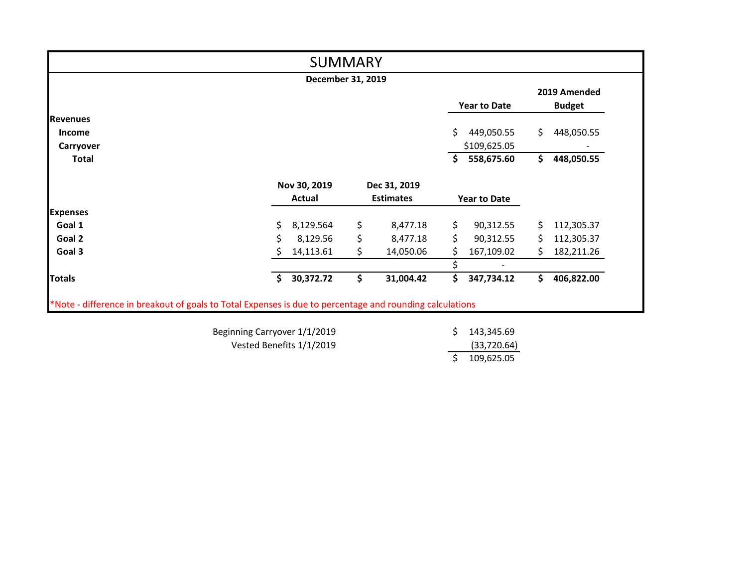|                 |     | <b>SUMMARY</b>    |    |                  |     |                          |    |                               |
|-----------------|-----|-------------------|----|------------------|-----|--------------------------|----|-------------------------------|
|                 |     | December 31, 2019 |    |                  |     |                          |    |                               |
|                 |     |                   |    |                  |     | <b>Year to Date</b>      |    | 2019 Amended<br><b>Budget</b> |
| <b>Revenues</b> |     |                   |    |                  |     |                          |    |                               |
| <b>Income</b>   |     |                   |    |                  | Ś.  | 449,050.55               | \$ | 448,050.55                    |
| Carryover       |     |                   |    |                  |     | \$109,625.05             |    |                               |
| <b>Total</b>    |     |                   |    |                  | Ŝ.  | 558,675.60               | \$ | 448,050.55                    |
|                 |     | Nov 30, 2019      |    | Dec 31, 2019     |     |                          |    |                               |
|                 |     | Actual            |    | <b>Estimates</b> |     | <b>Year to Date</b>      |    |                               |
| <b>Expenses</b> |     |                   |    |                  |     |                          |    |                               |
| Goal 1          | \$. | 8,129.564         | \$ | 8,477.18         | \$. | 90,312.55                | S. | 112,305.37                    |
| Goal 2          | Ś   | 8,129.56          | \$ | 8,477.18         | Ś.  | 90,312.55                | S. | 112,305.37                    |
| Goal 3          |     | 14,113.61         | Ś. | 14,050.06        | S.  | 167,109.02               | S. | 182,211.26                    |
|                 |     |                   |    |                  |     | $\overline{\phantom{a}}$ |    |                               |
| <b>Totals</b>   | Ś.  | 30,372.72         | \$ | 31,004.42        | \$  | 347,734.12               | Ś. | 406,822.00                    |

Beginning Carryover 1/1/2019 Vested Benefits 1/1/2019

\$ 143,345.69 (33,720.64)  $$ 109,625.05$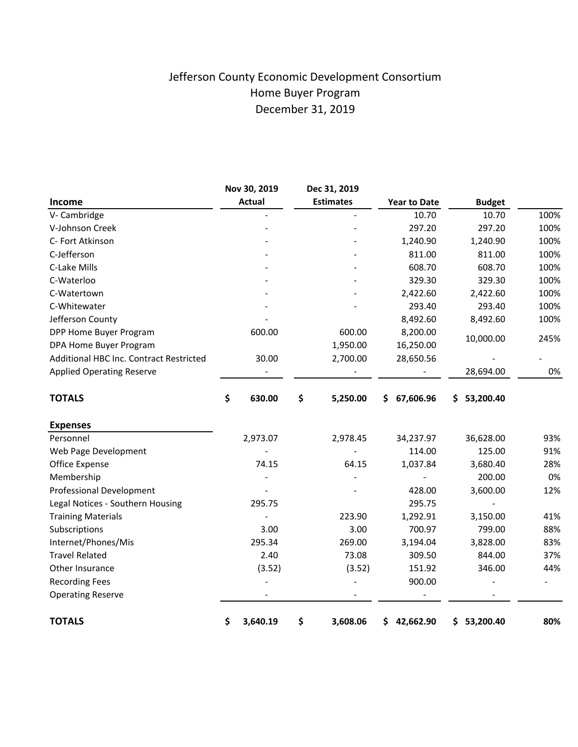# Jefferson County Economic Development Consortium Home Buyer Program December 31, 2019

|                                         | Nov 30, 2019   | Dec 31, 2019     |                     |                 |      |
|-----------------------------------------|----------------|------------------|---------------------|-----------------|------|
| Income                                  | <b>Actual</b>  | <b>Estimates</b> | <b>Year to Date</b> | <b>Budget</b>   |      |
| V- Cambridge                            |                |                  | 10.70               | 10.70           | 100% |
| V-Johnson Creek                         |                |                  | 297.20              | 297.20          | 100% |
| C- Fort Atkinson                        |                |                  | 1,240.90            | 1,240.90        | 100% |
| C-Jefferson                             |                |                  | 811.00              | 811.00          | 100% |
| C-Lake Mills                            |                |                  | 608.70              | 608.70          | 100% |
| C-Waterloo                              |                |                  | 329.30              | 329.30          | 100% |
| C-Watertown                             |                |                  | 2,422.60            | 2,422.60        | 100% |
| C-Whitewater                            |                |                  | 293.40              | 293.40          | 100% |
| Jefferson County                        |                |                  | 8,492.60            | 8,492.60        | 100% |
| DPP Home Buyer Program                  | 600.00         | 600.00           | 8,200.00            | 10,000.00       | 245% |
| DPA Home Buyer Program                  |                | 1,950.00         | 16,250.00           |                 |      |
| Additional HBC Inc. Contract Restricted | 30.00          | 2,700.00         | 28,650.56           |                 |      |
| <b>Applied Operating Reserve</b>        |                |                  |                     | 28,694.00       | 0%   |
| <b>TOTALS</b>                           | \$<br>630.00   | \$<br>5,250.00   | 67,606.96<br>S.     | 53,200.40<br>S. |      |
| <b>Expenses</b>                         |                |                  |                     |                 |      |
| Personnel                               | 2,973.07       | 2,978.45         | 34,237.97           | 36,628.00       | 93%  |
| Web Page Development                    |                |                  | 114.00              | 125.00          | 91%  |
| Office Expense                          | 74.15          | 64.15            | 1,037.84            | 3,680.40        | 28%  |
| Membership                              |                |                  |                     | 200.00          | 0%   |
| <b>Professional Development</b>         |                |                  | 428.00              | 3,600.00        | 12%  |
| Legal Notices - Southern Housing        | 295.75         |                  | 295.75              |                 |      |
| <b>Training Materials</b>               |                | 223.90           | 1,292.91            | 3,150.00        | 41%  |
| Subscriptions                           | 3.00           | 3.00             | 700.97              | 799.00          | 88%  |
| Internet/Phones/Mis                     | 295.34         | 269.00           | 3,194.04            | 3,828.00        | 83%  |
| <b>Travel Related</b>                   | 2.40           | 73.08            | 309.50              | 844.00          | 37%  |
| Other Insurance                         | (3.52)         | (3.52)           | 151.92              | 346.00          | 44%  |
| <b>Recording Fees</b>                   |                |                  | 900.00              |                 |      |
| <b>Operating Reserve</b>                |                |                  |                     |                 |      |
| <b>TOTALS</b>                           | \$<br>3,640.19 | \$<br>3,608.06   | 42,662.90<br>\$     | 53,200.40<br>\$ | 80%  |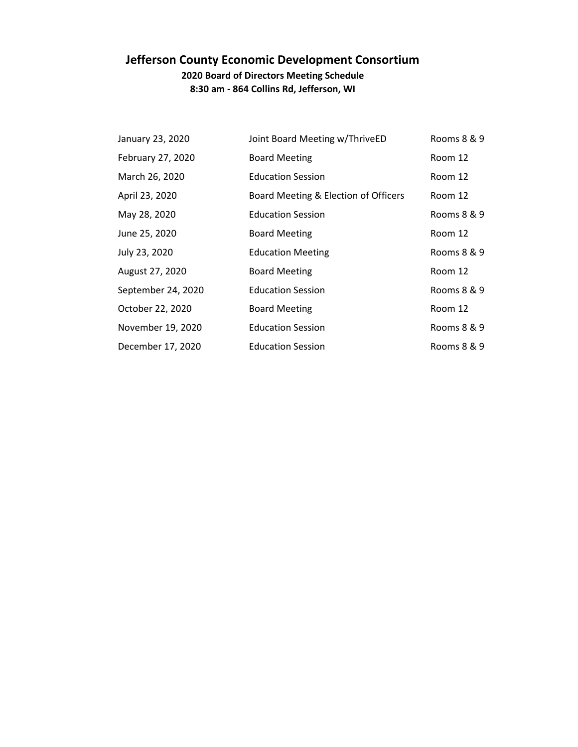# **Jefferson County Economic Development Consortium**

**2020 Board of Directors Meeting Schedule 8:30 am - 864 Collins Rd, Jefferson, WI**

| January 23, 2020   | Joint Board Meeting w/ThriveED       | Rooms 8 & 9 |
|--------------------|--------------------------------------|-------------|
| February 27, 2020  | <b>Board Meeting</b>                 | Room 12     |
| March 26, 2020     | <b>Education Session</b>             | Room 12     |
| April 23, 2020     | Board Meeting & Election of Officers | Room 12     |
| May 28, 2020       | <b>Education Session</b>             | Rooms 8 & 9 |
| June 25, 2020      | <b>Board Meeting</b>                 | Room 12     |
| July 23, 2020      | <b>Education Meeting</b>             | Rooms 8 & 9 |
| August 27, 2020    | <b>Board Meeting</b>                 | Room 12     |
| September 24, 2020 | <b>Education Session</b>             | Rooms 8 & 9 |
| October 22, 2020   | <b>Board Meeting</b>                 | Room 12     |
| November 19, 2020  | <b>Education Session</b>             | Rooms 8 & 9 |
| December 17, 2020  | <b>Education Session</b>             | Rooms 8 & 9 |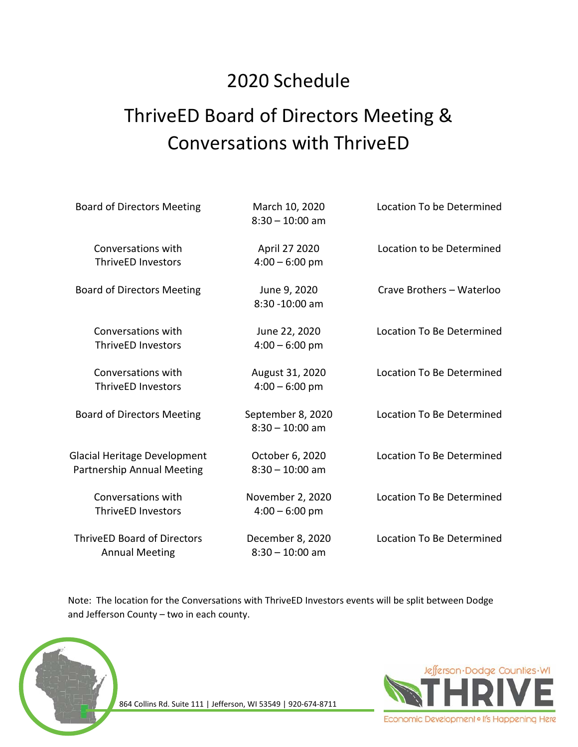# 2020 Schedule

# ThriveED Board of Directors Meeting & Conversations with ThriveED

| <b>Board of Directors Meeting</b>                                 | March 10, 2020<br>$8:30 - 10:00$ am    | Location To be Determined        |
|-------------------------------------------------------------------|----------------------------------------|----------------------------------|
| Conversations with<br><b>ThriveED Investors</b>                   | April 27 2020<br>$4:00 - 6:00$ pm      | Location to be Determined        |
| <b>Board of Directors Meeting</b>                                 | June 9, 2020<br>8:30 -10:00 am         | Crave Brothers - Waterloo        |
| Conversations with<br><b>ThriveED Investors</b>                   | June 22, 2020<br>$4:00 - 6:00$ pm      | Location To Be Determined        |
| Conversations with<br><b>ThriveED Investors</b>                   | August 31, 2020<br>$4:00 - 6:00$ pm    | Location To Be Determined        |
| <b>Board of Directors Meeting</b>                                 | September 8, 2020<br>$8:30 - 10:00$ am | <b>Location To Be Determined</b> |
| <b>Glacial Heritage Development</b><br>Partnership Annual Meeting | October 6, 2020<br>$8:30 - 10:00$ am   | Location To Be Determined        |
| Conversations with<br><b>ThriveED Investors</b>                   | November 2, 2020<br>$4:00 - 6:00$ pm   | <b>Location To Be Determined</b> |
| <b>ThriveED Board of Directors</b><br><b>Annual Meeting</b>       | December 8, 2020<br>$8:30 - 10:00$ am  | Location To Be Determined        |

Note: The location for the Conversations with ThriveED Investors events will be split between Dodge and Jefferson County – two in each county.



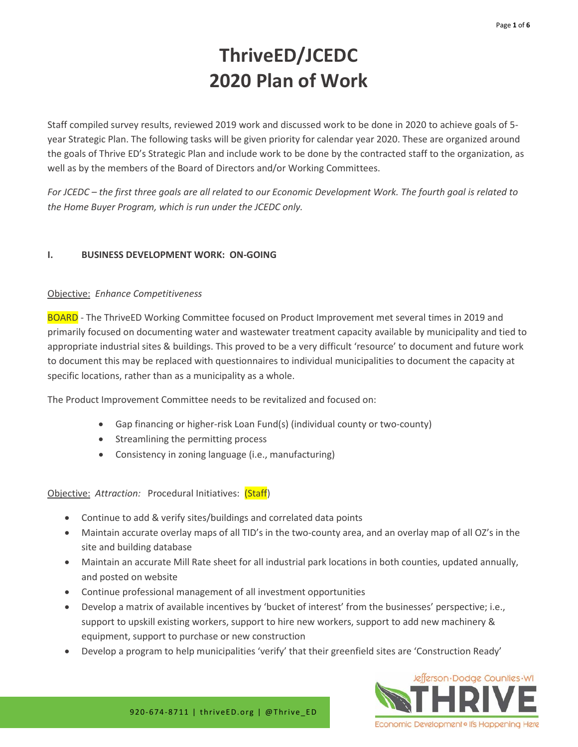# **ThriveED/JCEDC 2020 Plan of Work**

Staff compiled survey results, reviewed 2019 work and discussed work to be done in 2020 to achieve goals of 5 year Strategic Plan. The following tasks will be given priority for calendar year 2020. These are organized around the goals of Thrive ED's Strategic Plan and include work to be done by the contracted staff to the organization, as well as by the members of the Board of Directors and/or Working Committees.

*For JCEDC – the first three goals are all related to our Economic Development Work. The fourth goal is related to the Home Buyer Program, which is run under the JCEDC only.* 

## **I. BUSINESS DEVELOPMENT WORK: ON-GOING**

### Objective: *Enhance Competitiveness*

BOARD - The ThriveED Working Committee focused on Product Improvement met several times in 2019 and primarily focused on documenting water and wastewater treatment capacity available by municipality and tied to appropriate industrial sites & buildings. This proved to be a very difficult 'resource' to document and future work to document this may be replaced with questionnaires to individual municipalities to document the capacity at specific locations, rather than as a municipality as a whole.

The Product Improvement Committee needs to be revitalized and focused on:

- Gap financing or higher-risk Loan Fund(s) (individual county or two-county)
- Streamlining the permitting process
- Consistency in zoning language (i.e., manufacturing)

### Objective: *Attraction:* Procedural Initiatives: (Staff)

- Continue to add & verify sites/buildings and correlated data points
- Maintain accurate overlay maps of all TID's in the two-county area, and an overlay map of all OZ's in the site and building database
- Maintain an accurate Mill Rate sheet for all industrial park locations in both counties, updated annually, and posted on website
- Continue professional management of all investment opportunities
- Develop a matrix of available incentives by 'bucket of interest' from the businesses' perspective; i.e., support to upskill existing workers, support to hire new workers, support to add new machinery & equipment, support to purchase or new construction
- Develop a program to help municipalities 'verify' that their greenfield sites are 'Construction Ready'

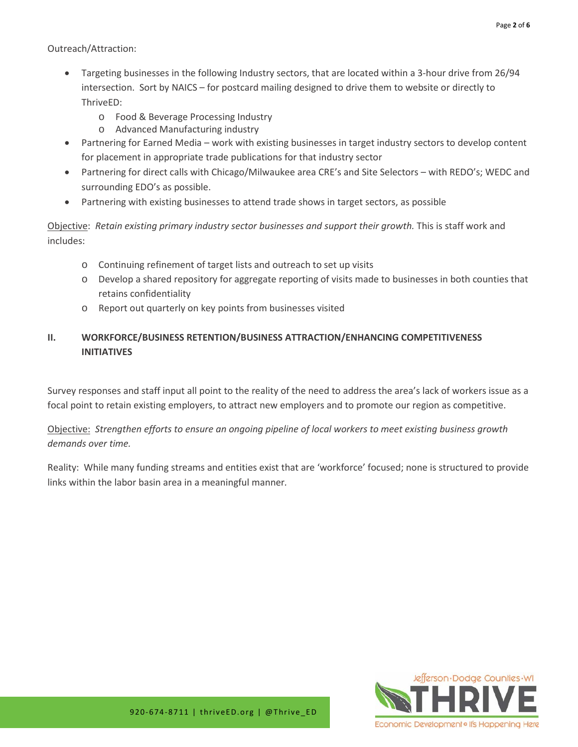Outreach/Attraction:

- Targeting businesses in the following Industry sectors, that are located within a 3-hour drive from 26/94 intersection. Sort by NAICS – for postcard mailing designed to drive them to website or directly to ThriveED:
	- o Food & Beverage Processing Industry
	- o Advanced Manufacturing industry
- Partnering for Earned Media work with existing businesses in target industry sectors to develop content for placement in appropriate trade publications for that industry sector
- Partnering for direct calls with Chicago/Milwaukee area CRE's and Site Selectors with REDO's; WEDC and surrounding EDO's as possible.
- Partnering with existing businesses to attend trade shows in target sectors, as possible

Objective: *Retain existing primary industry sector businesses and support their growth.* This is staff work and includes:

- o Continuing refinement of target lists and outreach to set up visits
- o Develop a shared repository for aggregate reporting of visits made to businesses in both counties that retains confidentiality
- o Report out quarterly on key points from businesses visited

## **II. WORKFORCE/BUSINESS RETENTION/BUSINESS ATTRACTION/ENHANCING COMPETITIVENESS INITIATIVES**

Survey responses and staff input all point to the reality of the need to address the area's lack of workers issue as a focal point to retain existing employers, to attract new employers and to promote our region as competitive.

Objective: *Strengthen efforts to ensure an ongoing pipeline of local workers to meet existing business growth demands over time.*

Reality: While many funding streams and entities exist that are 'workforce' focused; none is structured to provide links within the labor basin area in a meaningful manner*.* 



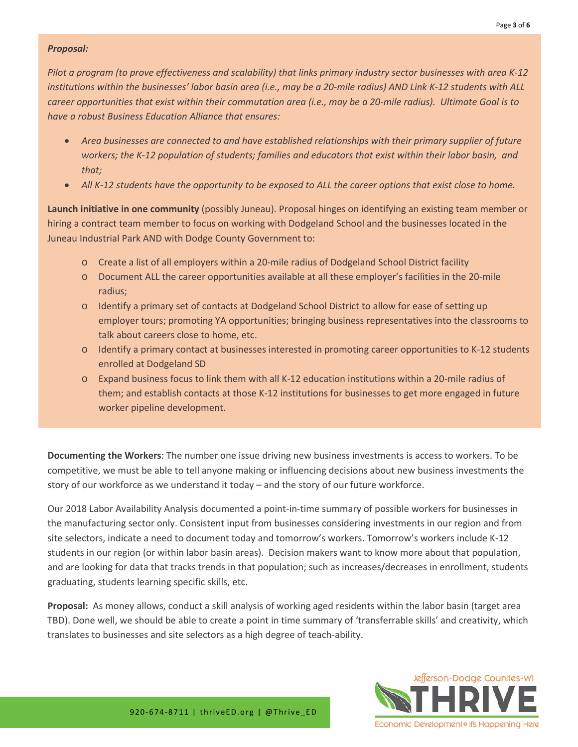#### *Proposal:*

*Pilot a program (to prove effectiveness and scalability) that links primary industry sector businesses with area K-12 institutions within the businesses' labor basin area (i.e., may be a 20-mile radius) AND Link K-12 students with ALL career opportunities that exist within their commutation area (i.e., may be a 20-mile radius). Ultimate Goal is to have a robust Business Education Alliance that ensures:*

- *Area businesses are connected to and have established relationships with their primary supplier of future workers; the K-12 population of students; families and educators that exist within their labor basin, and that;*
- *All K-12 students have the opportunity to be exposed to ALL the career options that exist close to home.*

**Launch initiative in one community** (possibly Juneau). Proposal hinges on identifying an existing team member or hiring a contract team member to focus on working with Dodgeland School and the businesses located in the Juneau Industrial Park AND with Dodge County Government to:

- o Create a list of all employers within a 20-mile radius of Dodgeland School District facility
- o Document ALL the career opportunities available at all these employer's facilities in the 20-mile radius;
- o Identify a primary set of contacts at Dodgeland School District to allow for ease of setting up employer tours; promoting YA opportunities; bringing business representatives into the classrooms to talk about careers close to home, etc.
- o Identify a primary contact at businesses interested in promoting career opportunities to K-12 students enrolled at Dodgeland SD
- o Expand business focus to link them with all K-12 education institutions within a 20-mile radius of them; and establish contacts at those K-12 institutions for businesses to get more engaged in future worker pipeline development.

**Documenting the Workers**: The number one issue driving new business investments is access to workers. To be competitive, we must be able to tell anyone making or influencing decisions about new business investments the story of our workforce as we understand it today – and the story of our future workforce.

Our 2018 Labor Availability Analysis documented a point-in-time summary of possible workers for businesses in the manufacturing sector only. Consistent input from businesses considering investments in our region and from site selectors, indicate a need to document today and tomorrow's workers. Tomorrow's workers include K-12 students in our region (or within labor basin areas). Decision makers want to know more about that population, and are looking for data that tracks trends in that population; such as increases/decreases in enrollment, students graduating, students learning specific skills, etc.

**Proposal:** As money allows, conduct a skill analysis of working aged residents within the labor basin (target area TBD). Done well, we should be able to create a point in time summary of 'transferrable skills' and creativity, which translates to businesses and site selectors as a high degree of teach-ability.

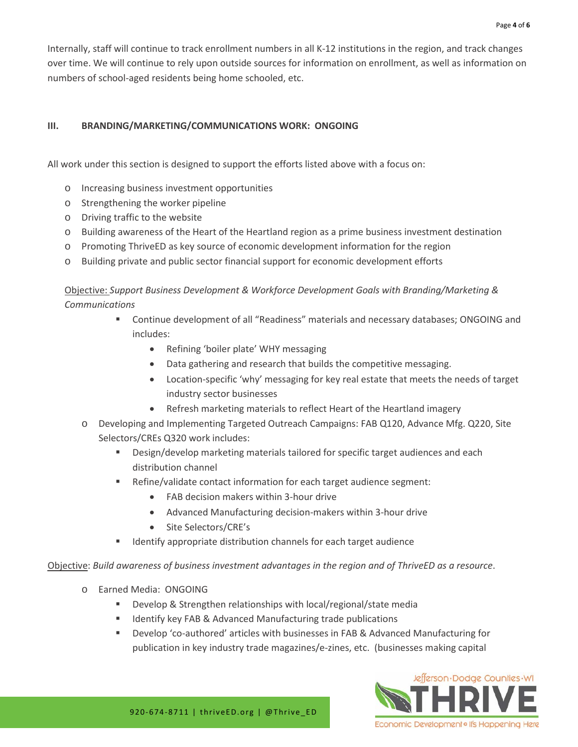Internally, staff will continue to track enrollment numbers in all K-12 institutions in the region, and track changes over time. We will continue to rely upon outside sources for information on enrollment, as well as information on numbers of school-aged residents being home schooled, etc.

## **III. BRANDING/MARKETING/COMMUNICATIONS WORK: ONGOING**

All work under this section is designed to support the efforts listed above with a focus on:

- o Increasing business investment opportunities
- o Strengthening the worker pipeline
- o Driving traffic to the website
- o Building awareness of the Heart of the Heartland region as a prime business investment destination
- o Promoting ThriveED as key source of economic development information for the region
- o Building private and public sector financial support for economic development efforts

Objective: *Support Business Development & Workforce Development Goals with Branding/Marketing & Communications*

- Continue development of all "Readiness" materials and necessary databases; ONGOING and includes:
	- Refining 'boiler plate' WHY messaging
	- Data gathering and research that builds the competitive messaging.
	- Location-specific 'why' messaging for key real estate that meets the needs of target industry sector businesses
	- Refresh marketing materials to reflect Heart of the Heartland imagery
- o Developing and Implementing Targeted Outreach Campaigns: FAB Q120, Advance Mfg. Q220, Site Selectors/CREs Q320 work includes:
	- **Design/develop marketing materials tailored for specific target audiences and each** distribution channel
	- Refine/validate contact information for each target audience segment:
		- FAB decision makers within 3-hour drive
		- Advanced Manufacturing decision-makers within 3-hour drive
		- Site Selectors/CRE's
	- Identify appropriate distribution channels for each target audience

Objective: *Build awareness of business investment advantages in the region and of ThriveED as a resource*.

- o Earned Media: ONGOING
	- Develop & Strengthen relationships with local/regional/state media
	- Identify key FAB & Advanced Manufacturing trade publications
	- Develop 'co-authored' articles with businesses in FAB & Advanced Manufacturing for publication in key industry trade magazines/e-zines, etc. (businesses making capital

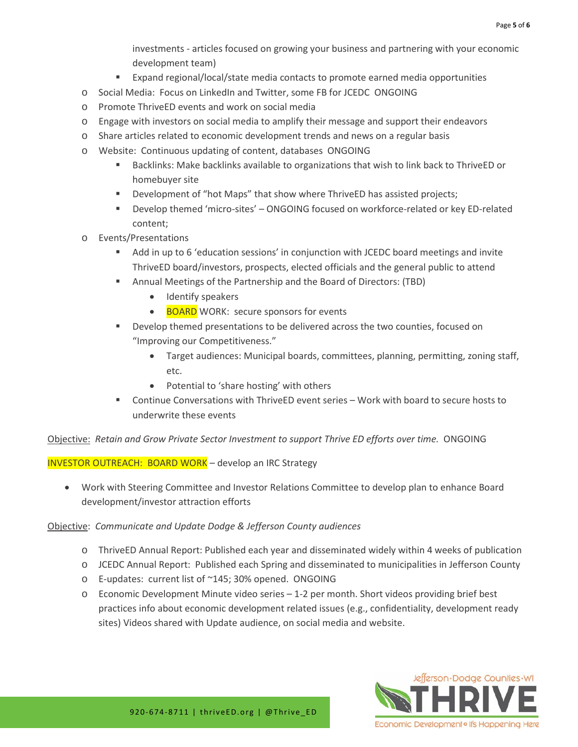investments - articles focused on growing your business and partnering with your economic development team)

- Expand regional/local/state media contacts to promote earned media opportunities
- o Social Media: Focus on LinkedIn and Twitter, some FB for JCEDC ONGOING
- o Promote ThriveED events and work on social media
- o Engage with investors on social media to amplify their message and support their endeavors
- o Share articles related to economic development trends and news on a regular basis
- o Website: Continuous updating of content, databases ONGOING
	- Backlinks: Make backlinks available to organizations that wish to link back to ThriveED or homebuyer site
	- **Development of "hot Maps" that show where ThriveED has assisted projects;**
	- Develop themed 'micro-sites' ONGOING focused on workforce-related or key ED-related content;
- o Events/Presentations
	- Add in up to 6 'education sessions' in conjunction with JCEDC board meetings and invite ThriveED board/investors, prospects, elected officials and the general public to attend
	- Annual Meetings of the Partnership and the Board of Directors: (TBD)
		- Identify speakers
		- BOARD WORK: secure sponsors for events
	- **PED 20 FORD EXECUTE:** Develop themed presentations to be delivered across the two counties, focused on "Improving our Competitiveness."
		- Target audiences: Municipal boards, committees, planning, permitting, zoning staff, etc.
		- Potential to 'share hosting' with others
	- Continue Conversations with ThriveED event series Work with board to secure hosts to underwrite these events

Objective: *Retain and Grow Private Sector Investment to support Thrive ED efforts over time.* ONGOING

INVESTOR OUTREACH: BOARD WORK – develop an IRC Strategy

• Work with Steering Committee and Investor Relations Committee to develop plan to enhance Board development/investor attraction efforts

#### Objective: *Communicate and Update Dodge & Jefferson County audiences*

- o ThriveED Annual Report: Published each year and disseminated widely within 4 weeks of publication
- o JCEDC Annual Report: Published each Spring and disseminated to municipalities in Jefferson County
- o E-updates: current list of ~145; 30% opened. ONGOING
- o Economic Development Minute video series 1-2 per month. Short videos providing brief best practices info about economic development related issues (e.g., confidentiality, development ready sites) Videos shared with Update audience, on social media and website.